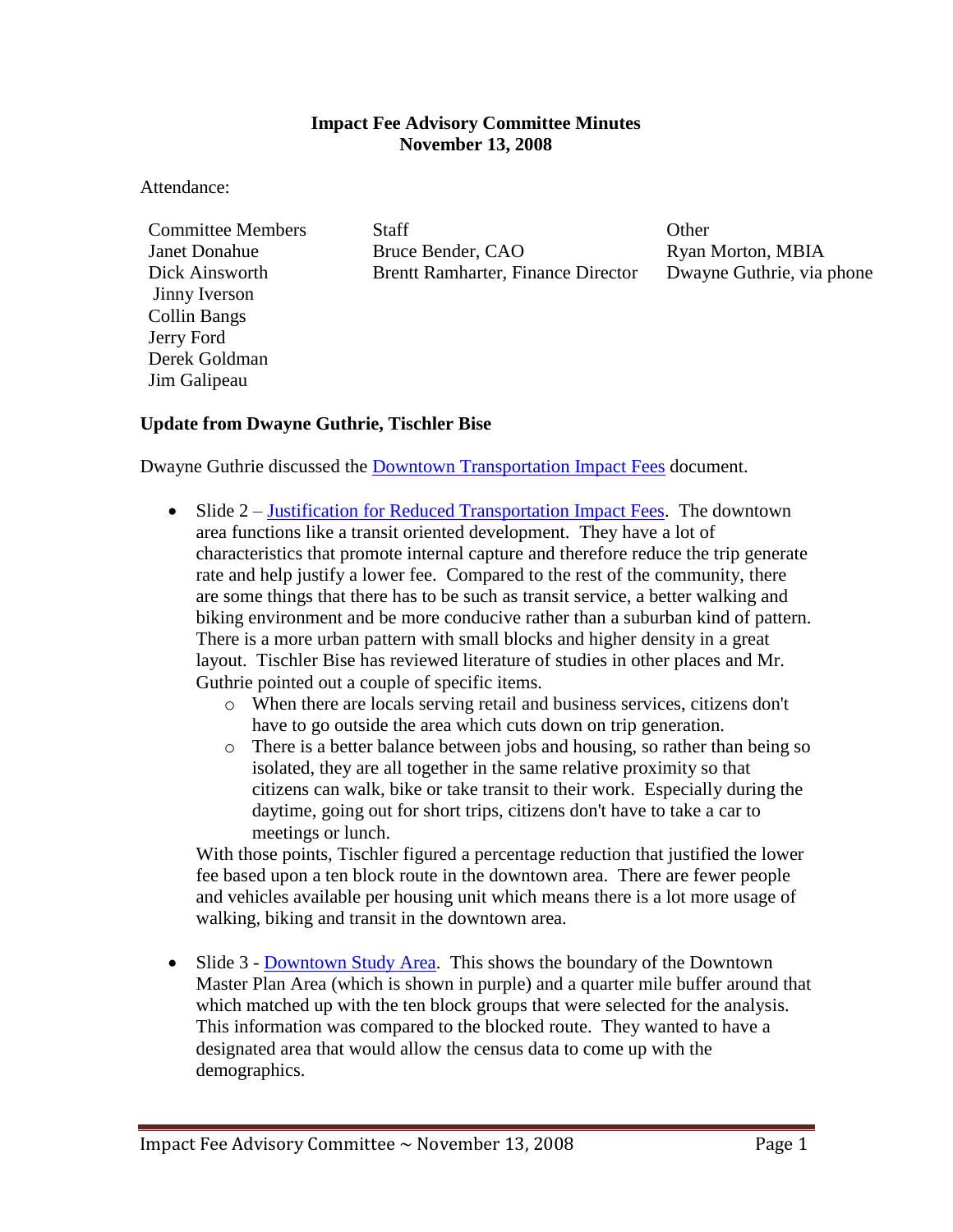### **Impact Fee Advisory Committee Minutes November 13, 2008**

#### Attendance:

Jinny Iverson Collin Bangs Jerry Ford Derek Goldman Jim Galipeau

Committee Members Staff States States States States Committee Members States States States States States Other Janet Donahue Bruce Bender, CAO Ryan Morton, MBIA Dick Ainsworth Brentt Ramharter, Finance Director Dwayne Guthrie, via phone

### **Update from Dwayne Guthrie, Tischler Bise**

Dwayne Guthrie discussed the [Downtown Transportation Impact Fees](ftp://ftp.ci.missoula.mt.us/Documents/Mayor/IFAC/2008/081113TischlerUpdate.pdf) document.

- Slide 2 [Justification for Reduced Transportation Impact Fees.](ftp://ftp.ci.missoula.mt.us/Documents/Mayor/IFAC/2008/081113Slide2.pdf) The downtown area functions like a transit oriented development. They have a lot of characteristics that promote internal capture and therefore reduce the trip generate rate and help justify a lower fee. Compared to the rest of the community, there are some things that there has to be such as transit service, a better walking and biking environment and be more conducive rather than a suburban kind of pattern. There is a more urban pattern with small blocks and higher density in a great layout. Tischler Bise has reviewed literature of studies in other places and Mr. Guthrie pointed out a couple of specific items.
	- o When there are locals serving retail and business services, citizens don't have to go outside the area which cuts down on trip generation.
	- o There is a better balance between jobs and housing, so rather than being so isolated, they are all together in the same relative proximity so that citizens can walk, bike or take transit to their work. Especially during the daytime, going out for short trips, citizens don't have to take a car to meetings or lunch.

With those points, Tischler figured a percentage reduction that justified the lower fee based upon a ten block route in the downtown area. There are fewer people and vehicles available per housing unit which means there is a lot more usage of walking, biking and transit in the downtown area.

• Slide 3 - [Downtown Study Area.](ftp://ftp.ci.missoula.mt.us/Documents/Mayor/IFAC/2008/081113Slide3.pdf) This shows the boundary of the Downtown Master Plan Area (which is shown in purple) and a quarter mile buffer around that which matched up with the ten block groups that were selected for the analysis. This information was compared to the blocked route. They wanted to have a designated area that would allow the census data to come up with the demographics.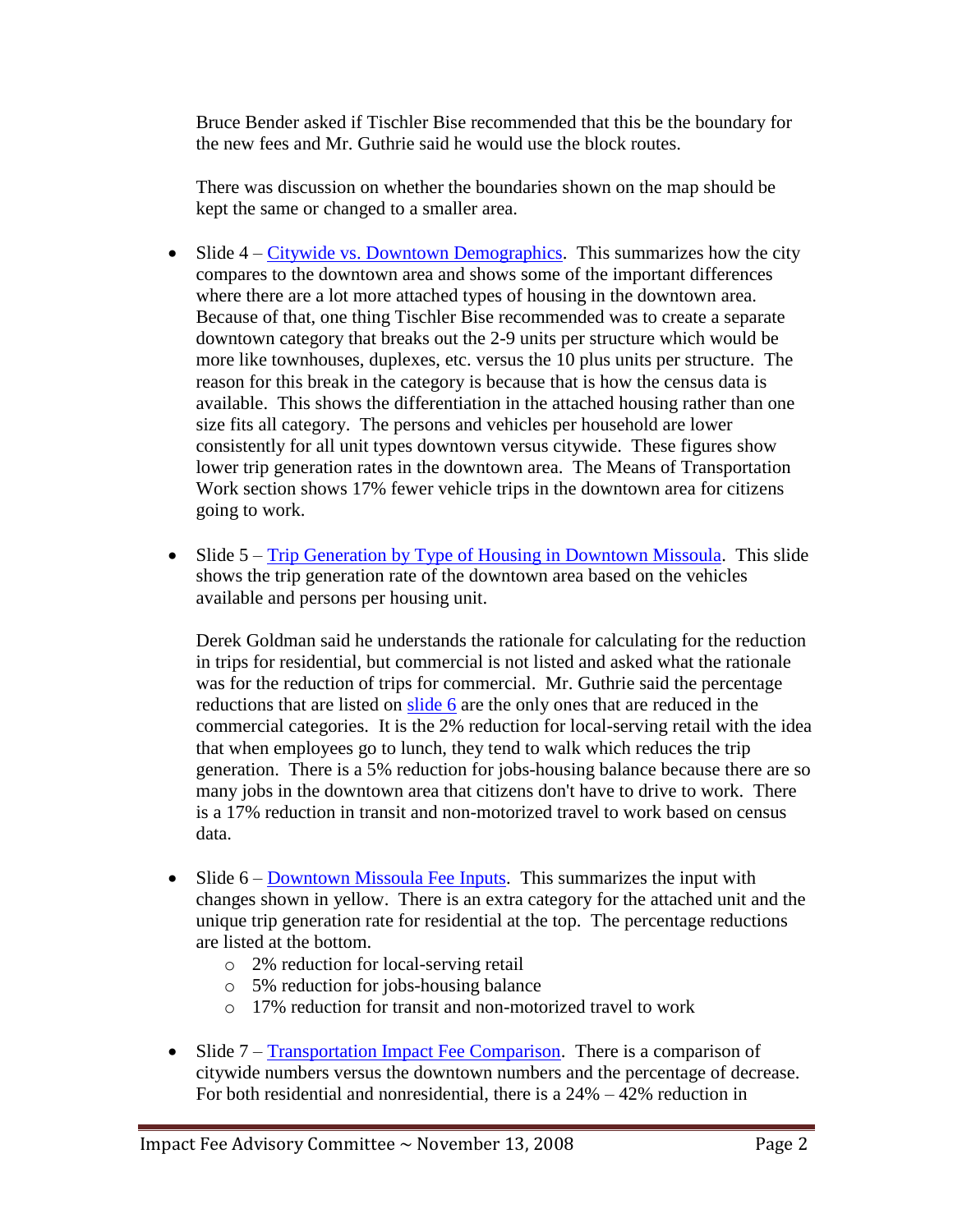Bruce Bender asked if Tischler Bise recommended that this be the boundary for the new fees and Mr. Guthrie said he would use the block routes.

There was discussion on whether the boundaries shown on the map should be kept the same or changed to a smaller area.

- Slide  $4 Citywide$  vs. Downtown Demographics. This summarizes how the city compares to the downtown area and shows some of the important differences where there are a lot more attached types of housing in the downtown area. Because of that, one thing Tischler Bise recommended was to create a separate downtown category that breaks out the 2-9 units per structure which would be more like townhouses, duplexes, etc. versus the 10 plus units per structure. The reason for this break in the category is because that is how the census data is available. This shows the differentiation in the attached housing rather than one size fits all category. The persons and vehicles per household are lower consistently for all unit types downtown versus citywide. These figures show lower trip generation rates in the downtown area. The Means of Transportation Work section shows 17% fewer vehicle trips in the downtown area for citizens going to work.
- Slide 5 [Trip Generation by Type of Housing in Downtown Missoula.](ftp://ftp.ci.missoula.mt.us/Documents/Mayor/IFAC/2008/081113Slide5.pdf) This slide shows the trip generation rate of the downtown area based on the vehicles available and persons per housing unit.

Derek Goldman said he understands the rationale for calculating for the reduction in trips for residential, but commercial is not listed and asked what the rationale was for the reduction of trips for commercial. Mr. Guthrie said the percentage reductions that are listed on [slide 6](ftp://ftp.ci.missoula.mt.us/Documents/Mayor/IFAC/2008/081113Slide6.pdf) are the only ones that are reduced in the commercial categories. It is the 2% reduction for local-serving retail with the idea that when employees go to lunch, they tend to walk which reduces the trip generation. There is a 5% reduction for jobs-housing balance because there are so many jobs in the downtown area that citizens don't have to drive to work. There is a 17% reduction in transit and non-motorized travel to work based on census data.

- Slide  $6 -$ [Downtown Missoula Fee Inputs.](ftp://ftp.ci.missoula.mt.us/Documents/Mayor/IFAC/2008/081113Slide6.pdf) This summarizes the input with changes shown in yellow. There is an extra category for the attached unit and the unique trip generation rate for residential at the top. The percentage reductions are listed at the bottom.
	- o 2% reduction for local-serving retail
	- o 5% reduction for jobs-housing balance
	- o 17% reduction for transit and non-motorized travel to work
- $\bullet$  Slide  $7 T$ **[Transportation Impact Fee Comparison.](ftp://ftp.ci.missoula.mt.us/Documents/Mayor/IFAC/2008/081113Slide7.pdf)** There is a comparison of citywide numbers versus the downtown numbers and the percentage of decrease. For both residential and nonresidential, there is a 24% – 42% reduction in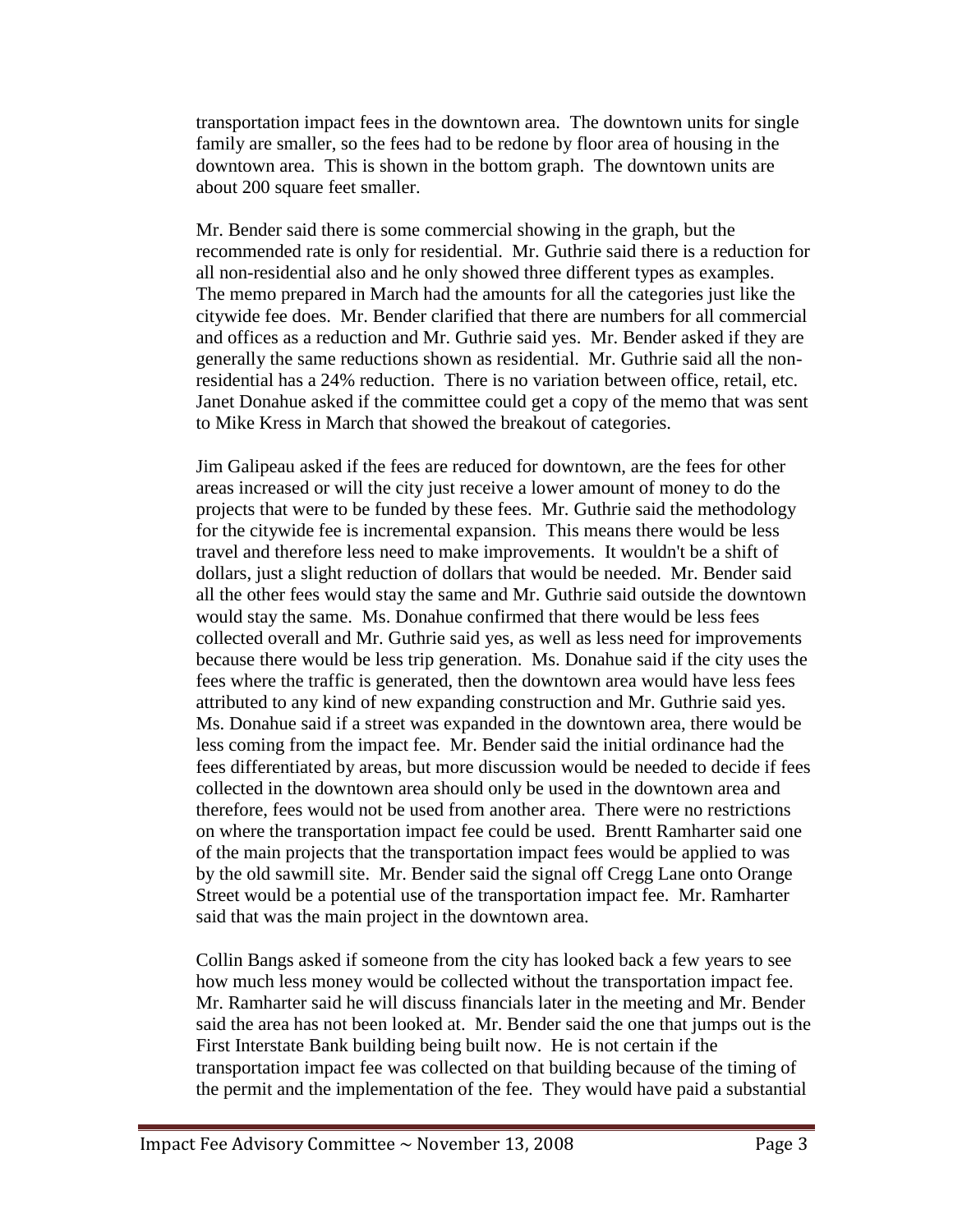transportation impact fees in the downtown area. The downtown units for single family are smaller, so the fees had to be redone by floor area of housing in the downtown area. This is shown in the bottom graph. The downtown units are about 200 square feet smaller.

Mr. Bender said there is some commercial showing in the graph, but the recommended rate is only for residential. Mr. Guthrie said there is a reduction for all non-residential also and he only showed three different types as examples. The memo prepared in March had the amounts for all the categories just like the citywide fee does. Mr. Bender clarified that there are numbers for all commercial and offices as a reduction and Mr. Guthrie said yes. Mr. Bender asked if they are generally the same reductions shown as residential. Mr. Guthrie said all the nonresidential has a 24% reduction. There is no variation between office, retail, etc. Janet Donahue asked if the committee could get a copy of the memo that was sent to Mike Kress in March that showed the breakout of categories.

Jim Galipeau asked if the fees are reduced for downtown, are the fees for other areas increased or will the city just receive a lower amount of money to do the projects that were to be funded by these fees. Mr. Guthrie said the methodology for the citywide fee is incremental expansion. This means there would be less travel and therefore less need to make improvements. It wouldn't be a shift of dollars, just a slight reduction of dollars that would be needed. Mr. Bender said all the other fees would stay the same and Mr. Guthrie said outside the downtown would stay the same. Ms. Donahue confirmed that there would be less fees collected overall and Mr. Guthrie said yes, as well as less need for improvements because there would be less trip generation. Ms. Donahue said if the city uses the fees where the traffic is generated, then the downtown area would have less fees attributed to any kind of new expanding construction and Mr. Guthrie said yes. Ms. Donahue said if a street was expanded in the downtown area, there would be less coming from the impact fee. Mr. Bender said the initial ordinance had the fees differentiated by areas, but more discussion would be needed to decide if fees collected in the downtown area should only be used in the downtown area and therefore, fees would not be used from another area. There were no restrictions on where the transportation impact fee could be used. Brentt Ramharter said one of the main projects that the transportation impact fees would be applied to was by the old sawmill site. Mr. Bender said the signal off Cregg Lane onto Orange Street would be a potential use of the transportation impact fee. Mr. Ramharter said that was the main project in the downtown area.

Collin Bangs asked if someone from the city has looked back a few years to see how much less money would be collected without the transportation impact fee. Mr. Ramharter said he will discuss financials later in the meeting and Mr. Bender said the area has not been looked at. Mr. Bender said the one that jumps out is the First Interstate Bank building being built now. He is not certain if the transportation impact fee was collected on that building because of the timing of the permit and the implementation of the fee. They would have paid a substantial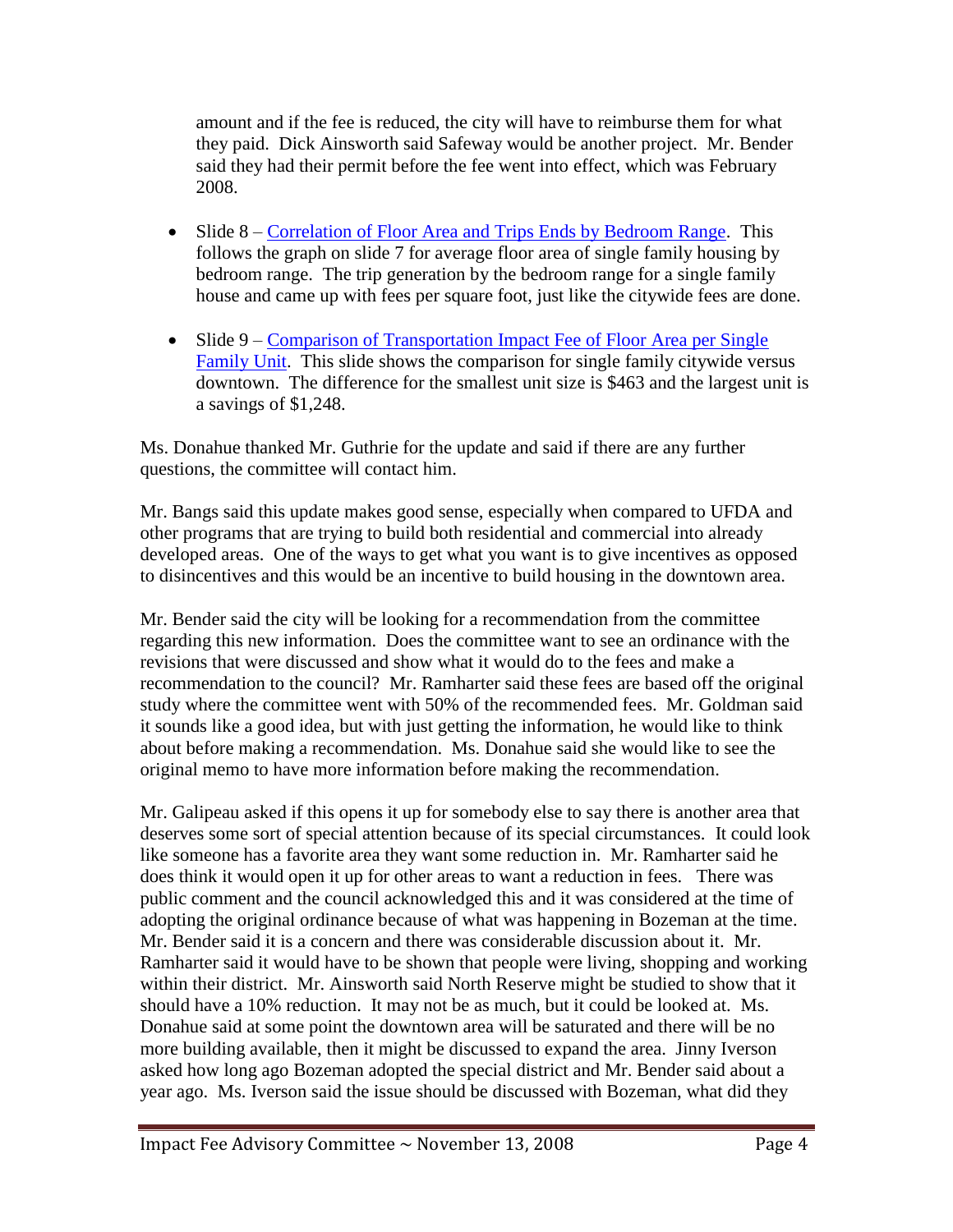amount and if the fee is reduced, the city will have to reimburse them for what they paid. Dick Ainsworth said Safeway would be another project. Mr. Bender said they had their permit before the fee went into effect, which was February 2008.

- Slide 8 [Correlation of Floor Area and Trips Ends by Bedroom Range.](ftp://ftp.ci.missoula.mt.us/Documents/Mayor/IFAC/2008/081113Slide8.pdf) This follows the graph on slide 7 for average floor area of single family housing by bedroom range. The trip generation by the bedroom range for a single family house and came up with fees per square foot, just like the citywide fees are done.
- Slide 9 Comparison of Transportation Impact Fee of Floor Area per Single [Family Unit.](ftp://ftp.ci.missoula.mt.us/Documents/Mayor/IFAC/2008/081113Slide9.pdf) This slide shows the comparison for single family citywide versus downtown. The difference for the smallest unit size is \$463 and the largest unit is a savings of \$1,248.

Ms. Donahue thanked Mr. Guthrie for the update and said if there are any further questions, the committee will contact him.

Mr. Bangs said this update makes good sense, especially when compared to UFDA and other programs that are trying to build both residential and commercial into already developed areas. One of the ways to get what you want is to give incentives as opposed to disincentives and this would be an incentive to build housing in the downtown area.

Mr. Bender said the city will be looking for a recommendation from the committee regarding this new information. Does the committee want to see an ordinance with the revisions that were discussed and show what it would do to the fees and make a recommendation to the council? Mr. Ramharter said these fees are based off the original study where the committee went with 50% of the recommended fees. Mr. Goldman said it sounds like a good idea, but with just getting the information, he would like to think about before making a recommendation. Ms. Donahue said she would like to see the original memo to have more information before making the recommendation.

Mr. Galipeau asked if this opens it up for somebody else to say there is another area that deserves some sort of special attention because of its special circumstances. It could look like someone has a favorite area they want some reduction in. Mr. Ramharter said he does think it would open it up for other areas to want a reduction in fees. There was public comment and the council acknowledged this and it was considered at the time of adopting the original ordinance because of what was happening in Bozeman at the time. Mr. Bender said it is a concern and there was considerable discussion about it. Mr. Ramharter said it would have to be shown that people were living, shopping and working within their district. Mr. Ainsworth said North Reserve might be studied to show that it should have a 10% reduction. It may not be as much, but it could be looked at. Ms. Donahue said at some point the downtown area will be saturated and there will be no more building available, then it might be discussed to expand the area. Jinny Iverson asked how long ago Bozeman adopted the special district and Mr. Bender said about a year ago. Ms. Iverson said the issue should be discussed with Bozeman, what did they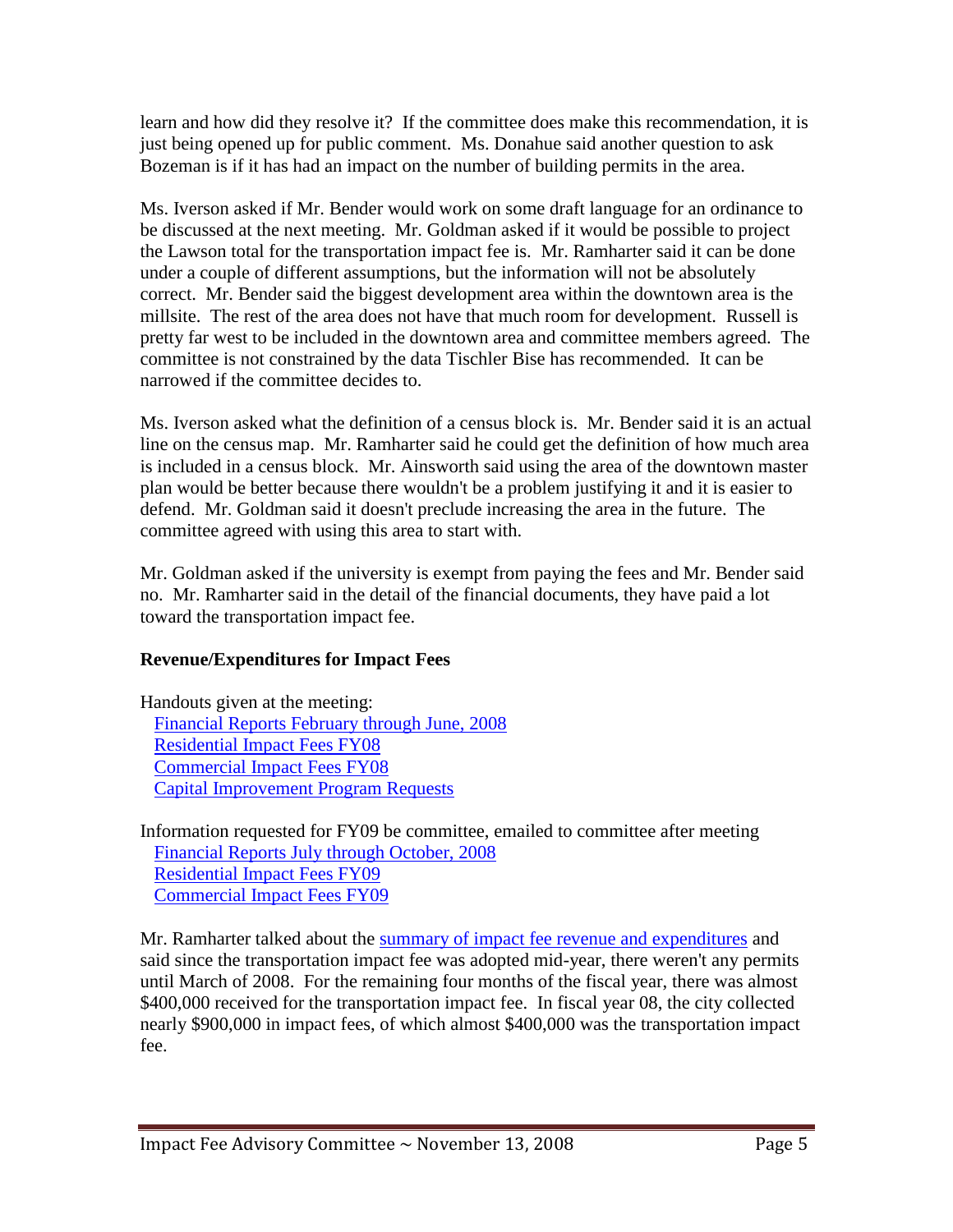learn and how did they resolve it? If the committee does make this recommendation, it is just being opened up for public comment. Ms. Donahue said another question to ask Bozeman is if it has had an impact on the number of building permits in the area.

Ms. Iverson asked if Mr. Bender would work on some draft language for an ordinance to be discussed at the next meeting. Mr. Goldman asked if it would be possible to project the Lawson total for the transportation impact fee is. Mr. Ramharter said it can be done under a couple of different assumptions, but the information will not be absolutely correct. Mr. Bender said the biggest development area within the downtown area is the millsite. The rest of the area does not have that much room for development. Russell is pretty far west to be included in the downtown area and committee members agreed. The committee is not constrained by the data Tischler Bise has recommended. It can be narrowed if the committee decides to.

Ms. Iverson asked what the definition of a census block is. Mr. Bender said it is an actual line on the census map. Mr. Ramharter said he could get the definition of how much area is included in a census block. Mr. Ainsworth said using the area of the downtown master plan would be better because there wouldn't be a problem justifying it and it is easier to defend. Mr. Goldman said it doesn't preclude increasing the area in the future. The committee agreed with using this area to start with.

Mr. Goldman asked if the university is exempt from paying the fees and Mr. Bender said no. Mr. Ramharter said in the detail of the financial documents, they have paid a lot toward the transportation impact fee.

# **Revenue/Expenditures for Impact Fees**

Handouts given at the meeting: [Financial Reports February through June, 2008](ftp://ftp.ci.missoula.mt.us/Documents/Mayor/IFAC/2008/081113Financials.pdf) [Residential Impact Fees FY08](ftp://ftp.ci.missoula.mt.us/Documents/Mayor/IFAC/2008/081113ResFY08.pdf) [Commercial Impact Fees FY08](http://www.ci.missoula.mt.us/) [Capital Improvement Program Requests](ftp://ftp.ci.missoula.mt.us/Documents/Mayor/IFAC/2008/081113ResFY08.pdf)

Information requested for FY09 be committee, emailed to committee after meeting [Financial Reports July through October, 2008](ftp://ftp.ci.missoula.mt.us/Documents/Mayor/IFAC/2008/081113FinJul_Oct.pdf) [Residential Impact Fees FY09](ftp://ftp.ci.missoula.mt.us/Documents/Mayor/IFAC/2008/081113ResFY09.pdf) [Commercial Impact Fees FY09](ftp://ftp.ci.missoula.mt.us/Documents/Mayor/IFAC/2008/081113CommFY09.pdf)

Mr. Ramharter talked about the [summary of impact fee revenue and expenditures](ftp://ftp.ci.missoula.mt.us/Documents/Mayor/IFAC/2008/081113Summary.pdf) and said since the transportation impact fee was adopted mid-year, there weren't any permits until March of 2008. For the remaining four months of the fiscal year, there was almost \$400,000 received for the transportation impact fee. In fiscal year 08, the city collected nearly \$900,000 in impact fees, of which almost \$400,000 was the transportation impact fee.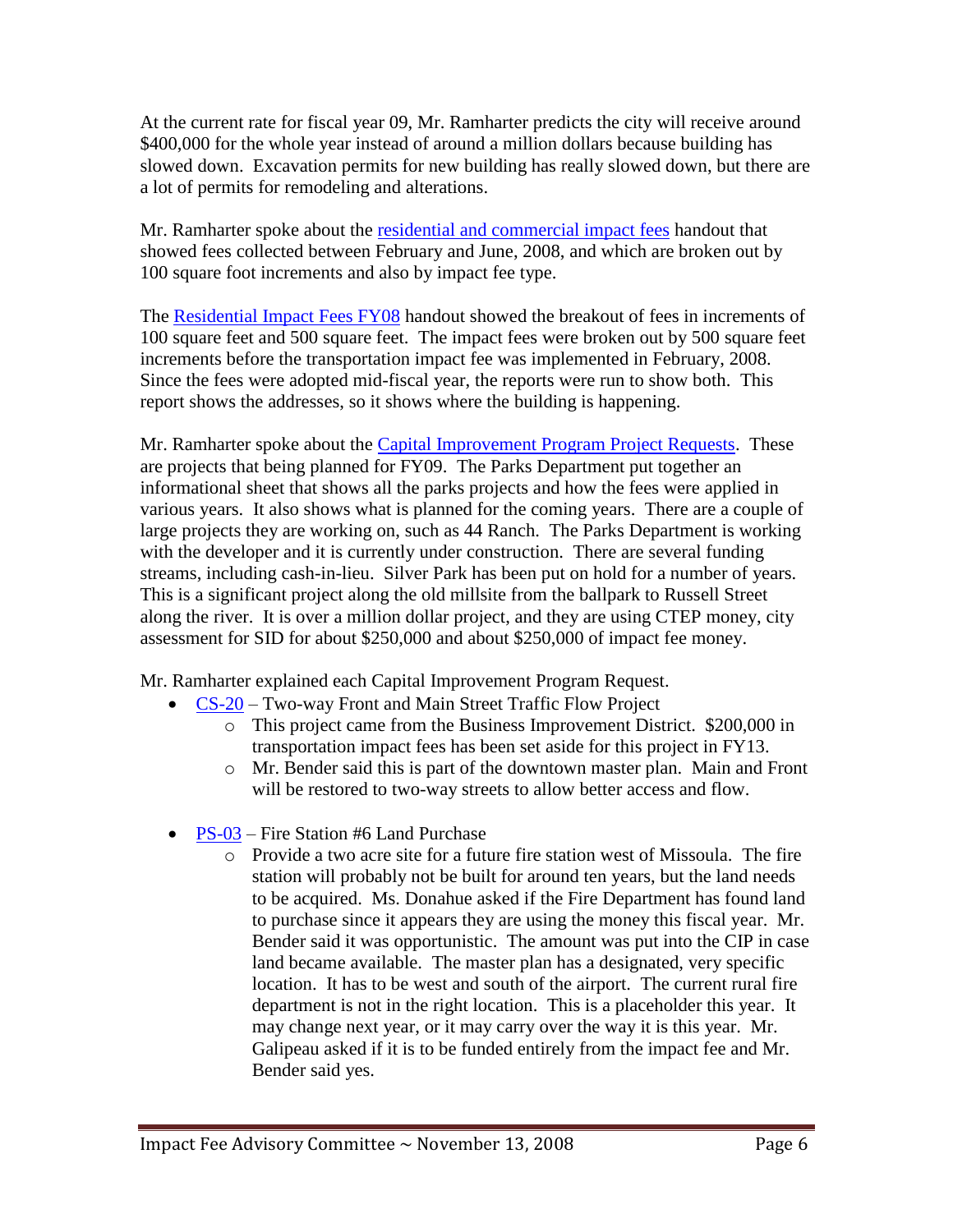At the current rate for fiscal year 09, Mr. Ramharter predicts the city will receive around \$400,000 for the whole year instead of around a million dollars because building has slowed down. Excavation permits for new building has really slowed down, but there are a lot of permits for remodeling and alterations.

Mr. Ramharter spoke about the [residential and commercial impact fees](ftp://ftp.ci.missoula.mt.us/Documents/Mayor/IFAC/2008/081113SqFtFeb_June.pdf) handout that showed fees collected between February and June, 2008, and which are broken out by 100 square foot increments and also by impact fee type.

The [Residential Impact Fees FY08](ftp://ftp.ci.missoula.mt.us/Documents/Mayor/IFAC/2008/081113CommFY09.pdf) handout showed the breakout of fees in increments of 100 square feet and 500 square feet. The impact fees were broken out by 500 square feet increments before the transportation impact fee was implemented in February, 2008. Since the fees were adopted mid-fiscal year, the reports were run to show both. This report shows the addresses, so it shows where the building is happening.

Mr. Ramharter spoke about the [Capital Improvement Program Project Requests.](ftp://ftp.ci.missoula.mt.us/Documents/Mayor/IFAC/2008/081113CIP.pdf) These are projects that being planned for FY09. The Parks Department put together an informational sheet that shows all the parks projects and how the fees were applied in various years. It also shows what is planned for the coming years. There are a couple of large projects they are working on, such as 44 Ranch. The Parks Department is working with the developer and it is currently under construction. There are several funding streams, including cash-in-lieu. Silver Park has been put on hold for a number of years. This is a significant project along the old millsite from the ballpark to Russell Street along the river. It is over a million dollar project, and they are using CTEP money, city assessment for SID for about \$250,000 and about \$250,000 of impact fee money.

Mr. Ramharter explained each Capital Improvement Program Request.

- [CS-20](ftp://ftp.ci.missoula.mt.us/Documents/Mayor/IFAC/2008/081113CS20.pdf) Two-way Front and Main Street Traffic Flow Project
	- o This project came from the Business Improvement District. \$200,000 in transportation impact fees has been set aside for this project in FY13.
	- o Mr. Bender said this is part of the downtown master plan. Main and Front will be restored to two-way streets to allow better access and flow.
- [PS-03](ftp://ftp.ci.missoula.mt.us/Documents/Mayor/IFAC/2008/081113CS20.pdf) Fire Station #6 Land Purchase
	- $\circ$  Provide a two acre site for a future fire station west of Missoula. The fire station will probably not be built for around ten years, but the land needs to be acquired. Ms. Donahue asked if the Fire Department has found land to purchase since it appears they are using the money this fiscal year. Mr. Bender said it was opportunistic. The amount was put into the CIP in case land became available. The master plan has a designated, very specific location. It has to be west and south of the airport. The current rural fire department is not in the right location. This is a placeholder this year. It may change next year, or it may carry over the way it is this year. Mr. Galipeau asked if it is to be funded entirely from the impact fee and Mr. Bender said yes.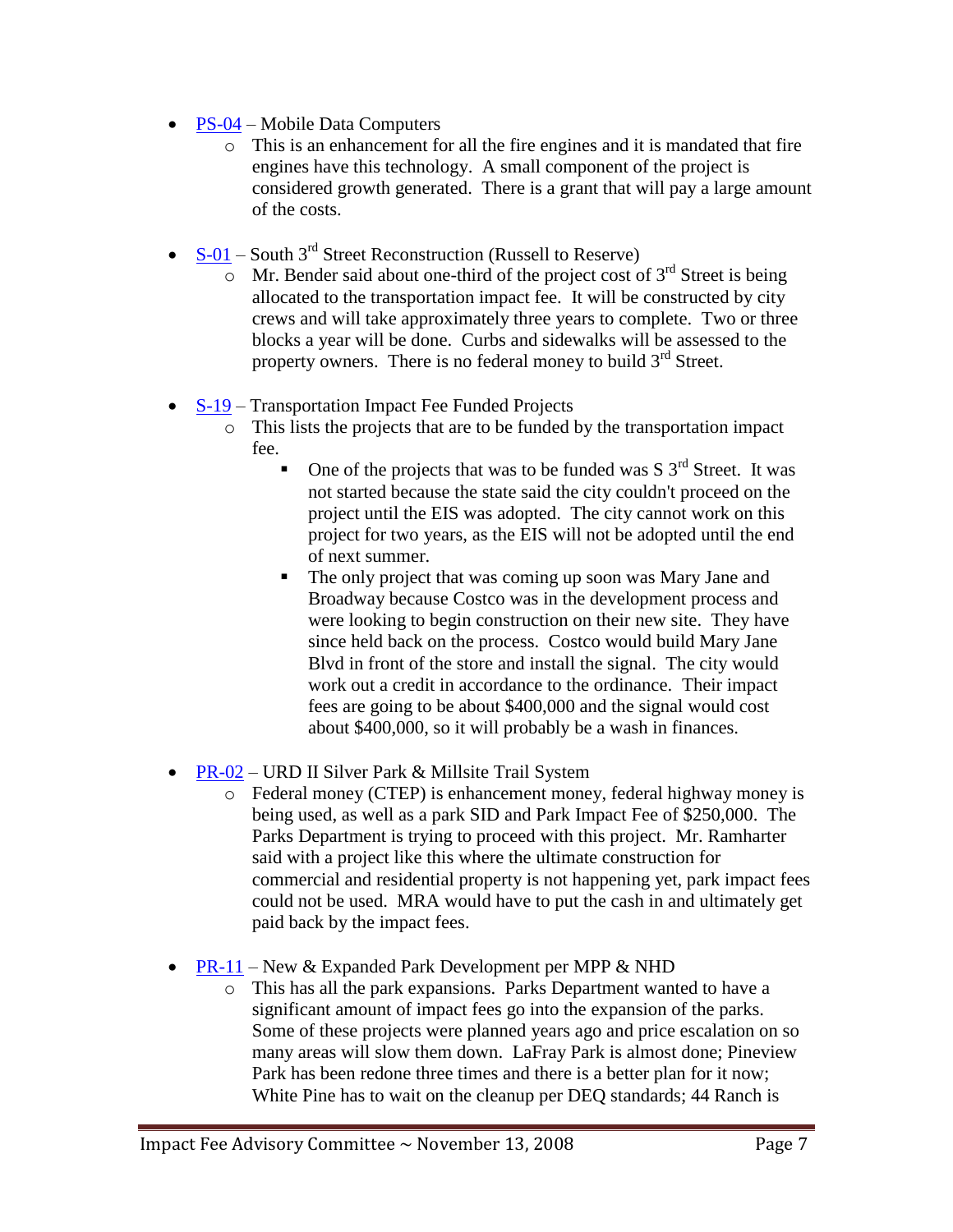- [PS-04](ftp://ftp.ci.missoula.mt.us/Documents/Mayor/IFAC/2008/081113PS04.pdf) Mobile Data Computers
	- o This is an enhancement for all the fire engines and it is mandated that fire engines have this technology. A small component of the project is considered growth generated. There is a grant that will pay a large amount of the costs.
- $S-01$  South 3<sup>rd</sup> Street Reconstruction (Russell to Reserve)
	- $\circ$  Mr. Bender said about one-third of the project cost of 3<sup>rd</sup> Street is being allocated to the transportation impact fee. It will be constructed by city crews and will take approximately three years to complete. Two or three blocks a year will be done. Curbs and sidewalks will be assessed to the property owners. There is no federal money to build  $3<sup>rd</sup>$  Street.
- [S-19](ftp://ftp.ci.missoula.mt.us/Documents/Mayor/IFAC/2008/081113S19.pdf) Transportation Impact Fee Funded Projects
	- o This lists the projects that are to be funded by the transportation impact fee.
		- One of the projects that was to be funded was S  $3<sup>rd</sup>$  Street. It was not started because the state said the city couldn't proceed on the project until the EIS was adopted. The city cannot work on this project for two years, as the EIS will not be adopted until the end of next summer.
		- The only project that was coming up soon was Mary Jane and Broadway because Costco was in the development process and were looking to begin construction on their new site. They have since held back on the process. Costco would build Mary Jane Blvd in front of the store and install the signal. The city would work out a credit in accordance to the ordinance. Their impact fees are going to be about \$400,000 and the signal would cost about \$400,000, so it will probably be a wash in finances.
- [PR-02](ftp://ftp.ci.missoula.mt.us/Documents/Mayor/IFAC/2008/081113PR02.pdf) URD II Silver Park & Millsite Trail System
	- o Federal money (CTEP) is enhancement money, federal highway money is being used, as well as a park SID and Park Impact Fee of \$250,000. The Parks Department is trying to proceed with this project. Mr. Ramharter said with a project like this where the ultimate construction for commercial and residential property is not happening yet, park impact fees could not be used. MRA would have to put the cash in and ultimately get paid back by the impact fees.
- [PR-11](ftp://ftp.ci.missoula.mt.us/Documents/Mayor/IFAC/2008/081113PR11.pdf) New & Expanded Park Development per MPP & NHD
	- o This has all the park expansions. Parks Department wanted to have a significant amount of impact fees go into the expansion of the parks. Some of these projects were planned years ago and price escalation on so many areas will slow them down. LaFray Park is almost done; Pineview Park has been redone three times and there is a better plan for it now; White Pine has to wait on the cleanup per DEQ standards; 44 Ranch is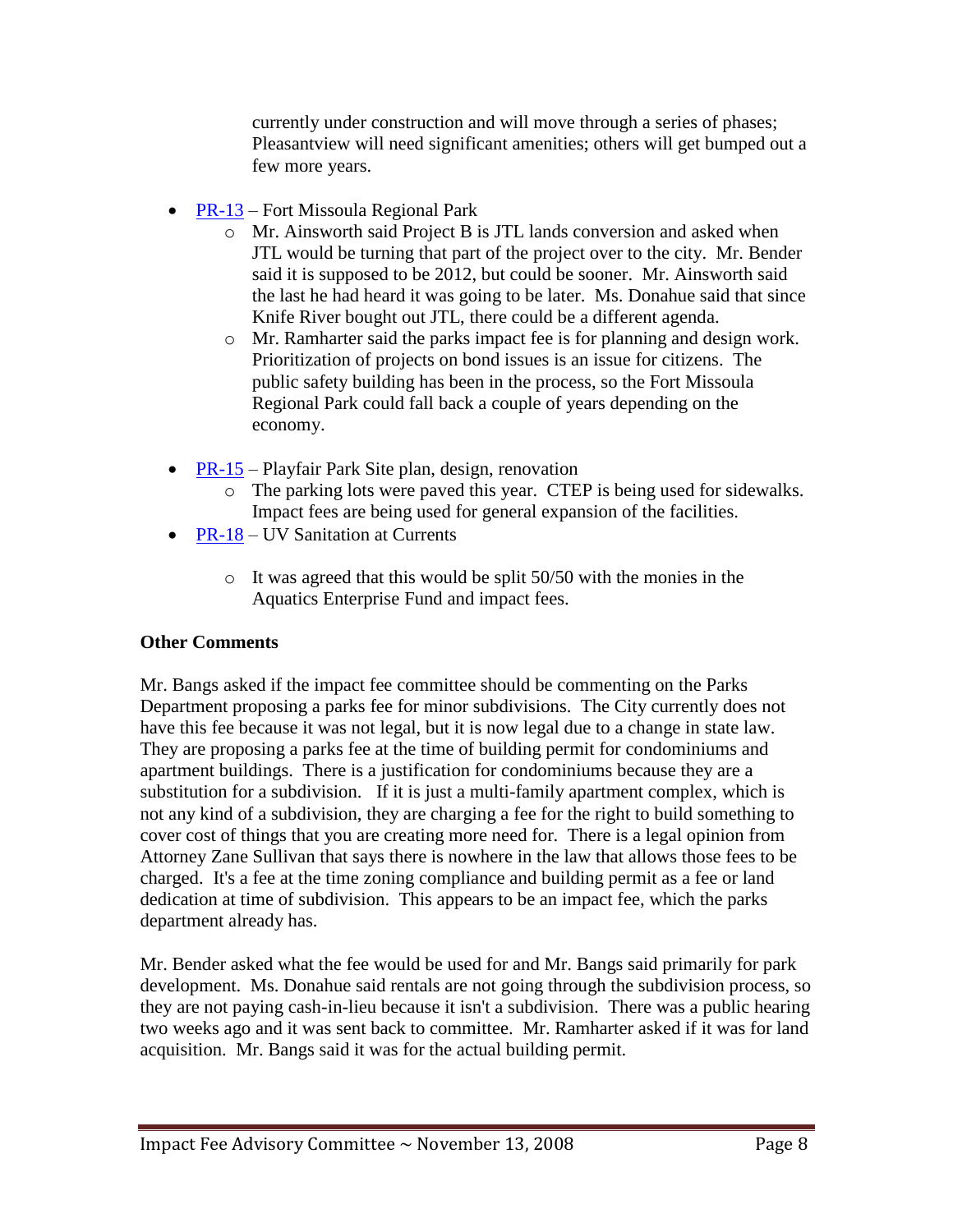currently under construction and will move through a series of phases; Pleasantview will need significant amenities; others will get bumped out a few more years.

- [PR-13](ftp://ftp.ci.missoula.mt.us/Documents/Mayor/IFAC/2008/081113PR13.pdf) Fort Missoula Regional Park
	- o Mr. Ainsworth said Project B is JTL lands conversion and asked when JTL would be turning that part of the project over to the city. Mr. Bender said it is supposed to be 2012, but could be sooner. Mr. Ainsworth said the last he had heard it was going to be later. Ms. Donahue said that since Knife River bought out JTL, there could be a different agenda.
	- o Mr. Ramharter said the parks impact fee is for planning and design work. Prioritization of projects on bond issues is an issue for citizens. The public safety building has been in the process, so the Fort Missoula Regional Park could fall back a couple of years depending on the economy.
- [PR-15](ftp://ftp.ci.missoula.mt.us/Documents/Mayor/IFAC/2008/081113PR15.pdf) Playfair Park Site plan, design, renovation
	- o The parking lots were paved this year. CTEP is being used for sidewalks. Impact fees are being used for general expansion of the facilities.
- [PR-18](ftp://ftp.ci.missoula.mt.us/Documents/Mayor/IFAC/2008/081113PR18.pdf) UV Sanitation at Currents
	- o It was agreed that this would be split 50/50 with the monies in the Aquatics Enterprise Fund and impact fees.

# **Other Comments**

Mr. Bangs asked if the impact fee committee should be commenting on the Parks Department proposing a parks fee for minor subdivisions. The City currently does not have this fee because it was not legal, but it is now legal due to a change in state law. They are proposing a parks fee at the time of building permit for condominiums and apartment buildings. There is a justification for condominiums because they are a substitution for a subdivision. If it is just a multi-family apartment complex, which is not any kind of a subdivision, they are charging a fee for the right to build something to cover cost of things that you are creating more need for. There is a legal opinion from Attorney Zane Sullivan that says there is nowhere in the law that allows those fees to be charged. It's a fee at the time zoning compliance and building permit as a fee or land dedication at time of subdivision. This appears to be an impact fee, which the parks department already has.

Mr. Bender asked what the fee would be used for and Mr. Bangs said primarily for park development. Ms. Donahue said rentals are not going through the subdivision process, so they are not paying cash-in-lieu because it isn't a subdivision. There was a public hearing two weeks ago and it was sent back to committee. Mr. Ramharter asked if it was for land acquisition. Mr. Bangs said it was for the actual building permit.